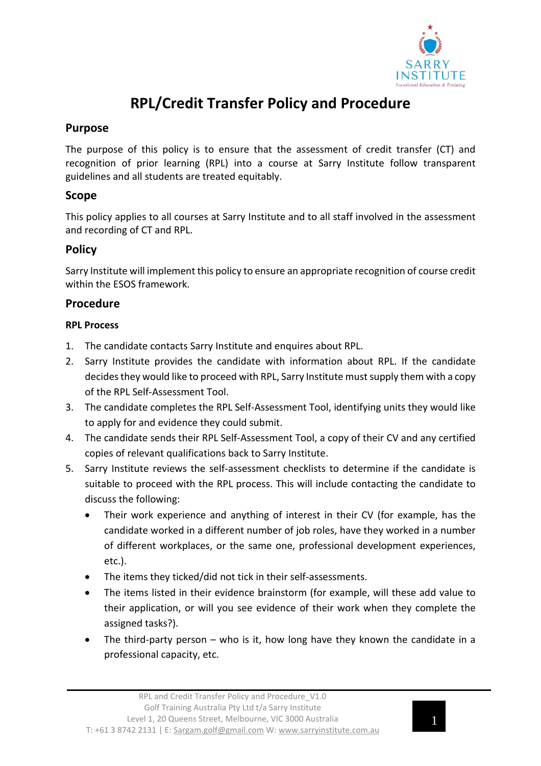

# **RPL/Credit Transfer Policy and Procedure**

## **Purpose**

The purpose of this policy is to ensure that the assessment of credit transfer (CT) and recognition of prior learning (RPL) into a course at Sarry Institute follow transparent guidelines and all students are treated equitably.

## **Scope**

This policy applies to all courses at Sarry Institute and to all staff involved in the assessment and recording of CT and RPL.

# **Policy**

Sarry Institute will implement this policy to ensure an appropriate recognition of course credit within the ESOS framework.

## **Procedure**

#### **RPL Process**

- 1. The candidate contacts Sarry Institute and enquires about RPL.
- 2. Sarry Institute provides the candidate with information about RPL. If the candidate decides they would like to proceed with RPL, Sarry Institute must supply them with a copy of the RPL Self-Assessment Tool.
- 3. The candidate completes the RPL Self-Assessment Tool, identifying units they would like to apply for and evidence they could submit.
- 4. The candidate sends their RPL Self-Assessment Tool, a copy of their CV and any certified copies of relevant qualifications back to Sarry Institute.
- 5. Sarry Institute reviews the self-assessment checklists to determine if the candidate is suitable to proceed with the RPL process. This will include contacting the candidate to discuss the following:
	- Their work experience and anything of interest in their CV (for example, has the candidate worked in a different number of job roles, have they worked in a number of different workplaces, or the same one, professional development experiences, etc.).
	- The items they ticked/did not tick in their self-assessments.
	- The items listed in their evidence brainstorm (for example, will these add value to their application, or will you see evidence of their work when they complete the assigned tasks?).
	- The third-party person who is it, how long have they known the candidate in a professional capacity, etc.

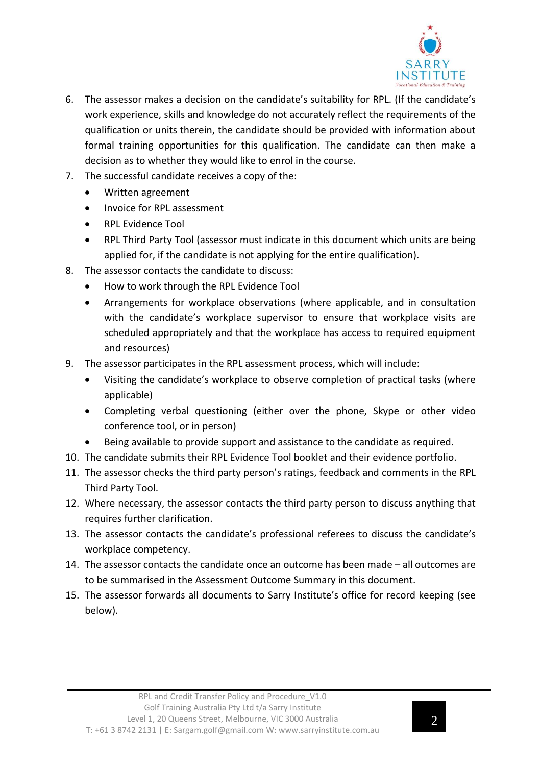

- 6. The assessor makes a decision on the candidate's suitability for RPL. (If the candidate's work experience, skills and knowledge do not accurately reflect the requirements of the qualification or units therein, the candidate should be provided with information about formal training opportunities for this qualification. The candidate can then make a decision as to whether they would like to enrol in the course.
- 7. The successful candidate receives a copy of the:
	- Written agreement
	- Invoice for RPL assessment
	- RPL Evidence Tool
	- RPL Third Party Tool (assessor must indicate in this document which units are being applied for, if the candidate is not applying for the entire qualification).
- 8. The assessor contacts the candidate to discuss:
	- How to work through the RPL Evidence Tool
	- Arrangements for workplace observations (where applicable, and in consultation with the candidate's workplace supervisor to ensure that workplace visits are scheduled appropriately and that the workplace has access to required equipment and resources)
- 9. The assessor participates in the RPL assessment process, which will include:
	- Visiting the candidate's workplace to observe completion of practical tasks (where applicable)
	- Completing verbal questioning (either over the phone, Skype or other video conference tool, or in person)
	- Being available to provide support and assistance to the candidate as required.
- 10. The candidate submits their RPL Evidence Tool booklet and their evidence portfolio.
- 11. The assessor checks the third party person's ratings, feedback and comments in the RPL Third Party Tool.
- 12. Where necessary, the assessor contacts the third party person to discuss anything that requires further clarification.
- 13. The assessor contacts the candidate's professional referees to discuss the candidate's workplace competency.
- 14. The assessor contacts the candidate once an outcome has been made all outcomes are to be summarised in the Assessment Outcome Summary in this document.
- 15. The assessor forwards all documents to Sarry Institute's office for record keeping (see below).

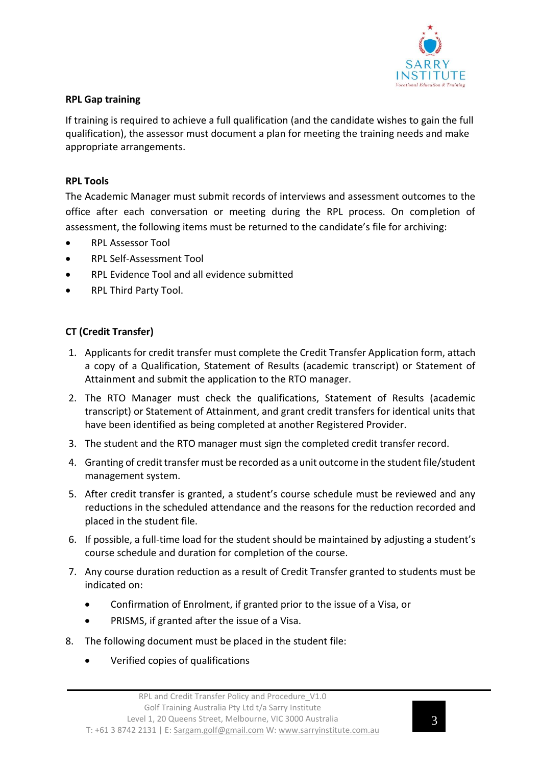

#### **RPL Gap training**

If training is required to achieve a full qualification (and the candidate wishes to gain the full qualification), the assessor must document a plan for meeting the training needs and make appropriate arrangements.

#### **RPL Tools**

The Academic Manager must submit records of interviews and assessment outcomes to the office after each conversation or meeting during the RPL process. On completion of assessment, the following items must be returned to the candidate's file for archiving:

- RPL Assessor Tool
- RPL Self-Assessment Tool
- RPL Evidence Tool and all evidence submitted
- RPL Third Party Tool.

#### **CT (Credit Transfer)**

- 1. Applicants for credit transfer must complete the Credit Transfer Application form, attach a copy of a Qualification, Statement of Results (academic transcript) or Statement of Attainment and submit the application to the RTO manager.
- 2. The RTO Manager must check the qualifications, Statement of Results (academic transcript) or Statement of Attainment, and grant credit transfers for identical units that have been identified as being completed at another Registered Provider.
- 3. The student and the RTO manager must sign the completed credit transfer record.
- 4. Granting of credit transfer must be recorded as a unit outcome in the student file/student management system.
- 5. After credit transfer is granted, a student's course schedule must be reviewed and any reductions in the scheduled attendance and the reasons for the reduction recorded and placed in the student file.
- 6. If possible, a full-time load for the student should be maintained by adjusting a student's course schedule and duration for completion of the course.
- 7. Any course duration reduction as a result of Credit Transfer granted to students must be indicated on:
	- Confirmation of Enrolment, if granted prior to the issue of a Visa, or
	- PRISMS, if granted after the issue of a Visa.
- 8. The following document must be placed in the student file:
	- Verified copies of qualifications